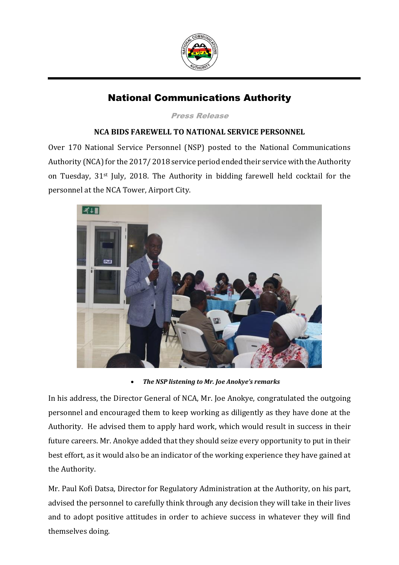

## National Communications Authority

Press Release

## **NCA BIDS FAREWELL TO NATIONAL SERVICE PERSONNEL**

Over 170 National Service Personnel (NSP) posted to the National Communications Authority (NCA) for the 2017/ 2018 service period ended their service with the Authority on Tuesday, 31st July, 2018. The Authority in bidding farewell held cocktail for the personnel at the NCA Tower, Airport City.



*The NSP listening to Mr. Joe Anokye's remarks*

In his address, the Director General of NCA, Mr. Joe Anokye, congratulated the outgoing personnel and encouraged them to keep working as diligently as they have done at the Authority. He advised them to apply hard work, which would result in success in their future careers. Mr. Anokye added that they should seize every opportunity to put in their best effort, as it would also be an indicator of the working experience they have gained at the Authority.

Mr. Paul Kofi Datsa, Director for Regulatory Administration at the Authority, on his part, advised the personnel to carefully think through any decision they will take in their lives and to adopt positive attitudes in order to achieve success in whatever they will find themselves doing.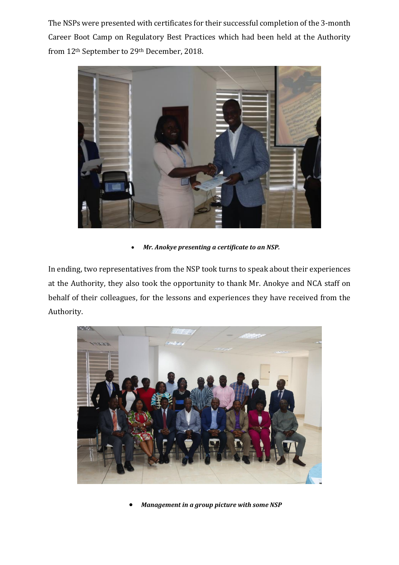The NSPs were presented with certificates for their successful completion of the 3-month Career Boot Camp on Regulatory Best Practices which had been held at the Authority from 12th September to 29th December, 2018.



*Mr. Anokye presenting a certificate to an NSP.*

In ending, two representatives from the NSP took turns to speak about their experiences at the Authority, they also took the opportunity to thank Mr. Anokye and NCA staff on behalf of their colleagues, for the lessons and experiences they have received from the Authority.



*Management in a group picture with some NSP*